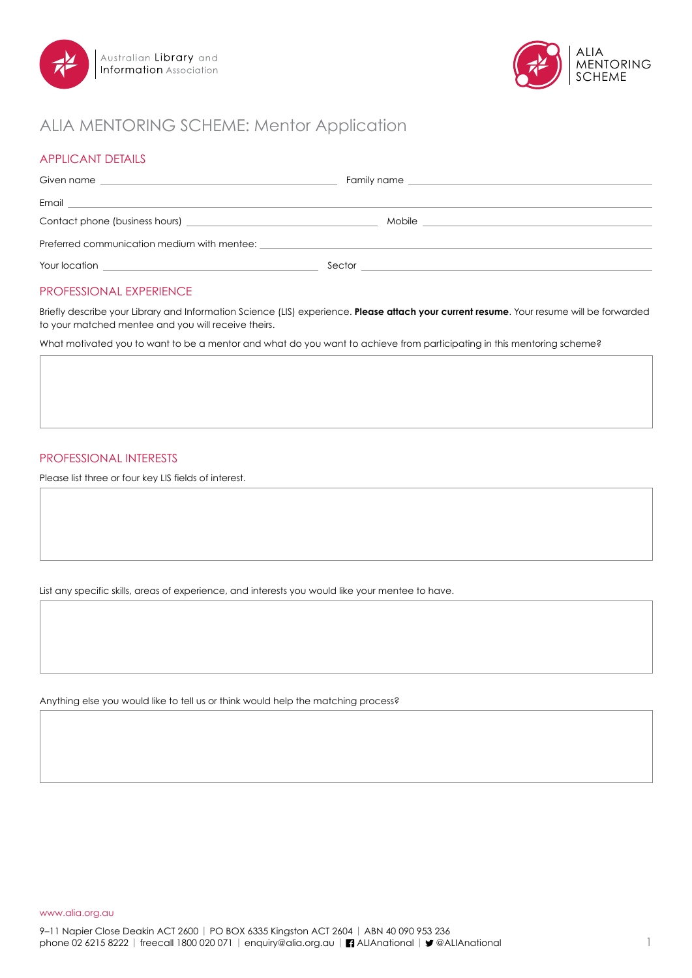



# ALIA MENTORING SCHEME: Mentor Application

# APPLICANT DETAILS

| Given name<br><u> 1989 - Johann Stein, mars an de Frankrik (f. 1989)</u>             |                                                                                                                 |  |
|--------------------------------------------------------------------------------------|-----------------------------------------------------------------------------------------------------------------|--|
|                                                                                      |                                                                                                                 |  |
| Contact phone (business hours) example a state of the contact phone (business hours) | Mobile                                                                                                          |  |
| Preferred communication medium with mentee:                                          |                                                                                                                 |  |
|                                                                                      | Sector that the contract of the contract of the contract of the contract of the contract of the contract of the |  |

## PROFESSIONAL EXPERIENCE

Briefly describe your Library and Information Science (LIS) experience. **Please attach your current resume**. Your resume will be forwarded to your matched mentee and you will receive theirs.

What motivated you to want to be a mentor and what do you want to achieve from participating in this mentoring scheme?

### PROFESSIONAL INTERESTS

Please list three or four key LIS fields of interest.

List any specific skills, areas of experience, and interests you would like your mentee to have.

Anything else you would like to tell us or think would help the matching process?

www.alia.org.au